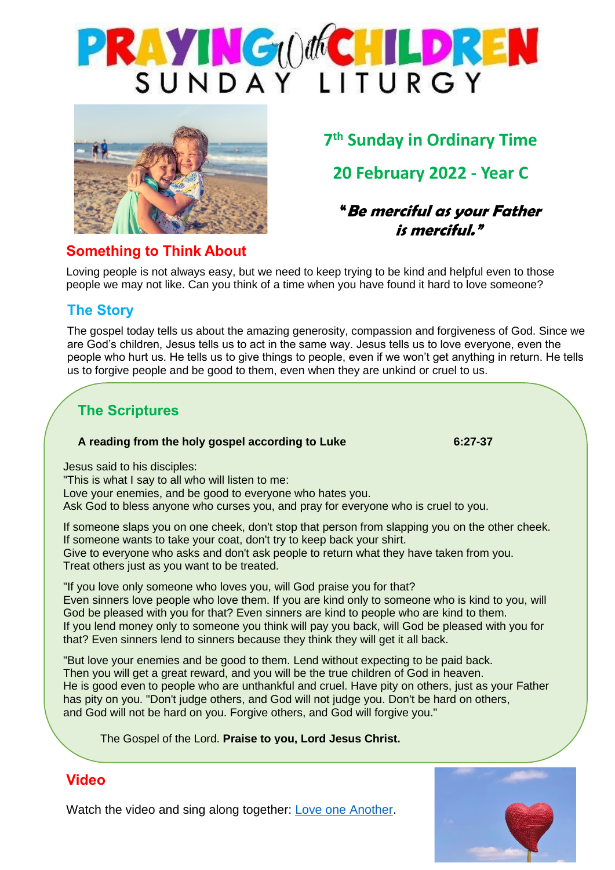



# **7 th Sunday in Ordinary Time**

**20 February 2022 - Year C**

**"Be merciful as your Father is merciful."**

#### **Something to Think About**

Loving people is not always easy, but we need to keep trying to be kind and helpful even to those people we may not like. Can you think of a time when you have found it hard to love someone?

### **The Story**

The gospel today tells us about the amazing generosity, compassion and forgiveness of God. Since we are God's children, Jesus tells us to act in the same way. Jesus tells us to love everyone, even the people who hurt us. He tells us to give things to people, even if we won't get anything in return. He tells us to forgive people and be good to them, even when they are unkind or cruel to us.

# **The Scriptures**

#### **A reading from the holy gospel according to Luke 6:27-37**

Jesus said to his disciples:

"This is what I say to all who will listen to me: Love your enemies, and be good to everyone who hates you. Ask God to bless anyone who curses you, and pray for everyone who is cruel to you.

If someone slaps you on one cheek, don't stop that person from slapping you on the other cheek. If someone wants to take your coat, don't try to keep back your shirt. Give to everyone who asks and don't ask people to return what they have taken from you. Treat others just as you want to be treated.

"If you love only someone who loves you, will God praise you for that? Even sinners love people who love them. If you are kind only to someone who is kind to you, will God be pleased with you for that? Even sinners are kind to people who are kind to them. If you lend money only to someone you think will pay you back, will God be pleased with you for that? Even sinners lend to sinners because they think they will get it all back.

"But love your enemies and be good to them. Lend without expecting to be paid back. Then you will get a great reward, and you will be the true children of God in heaven. He is good even to people who are unthankful and cruel. Have pity on others, just as your Father has pity on you. "Don't judge others, and God will not judge you. Don't be hard on others, and God will not be hard on you. Forgive others, and God will forgive you."

The Gospel of the Lord. **Praise to you, Lord Jesus Christ.**

## **Video**

Watch the video and sing along together: [Love one Another.](https://www.youtube.com/watch?v=LYlkcoAfLU4)

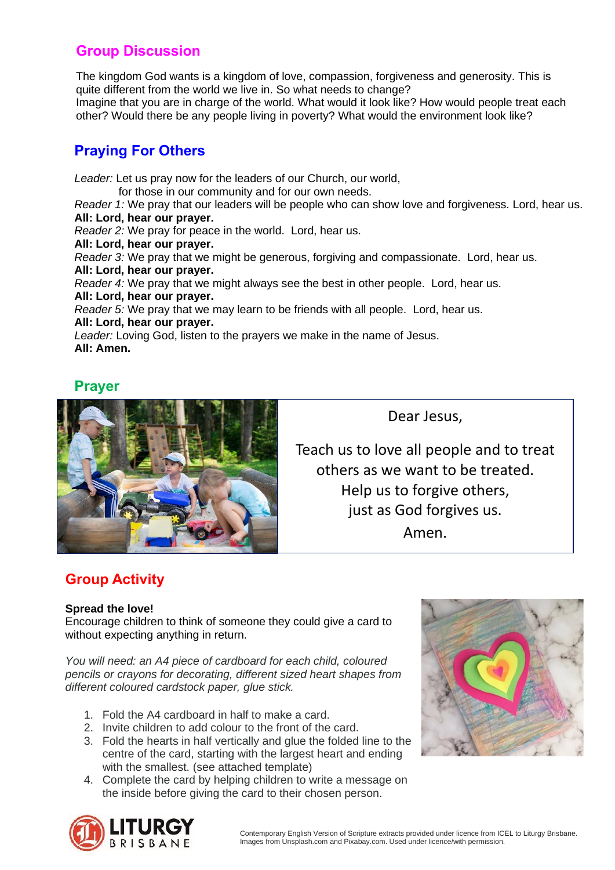#### **Group Discussion**

The kingdom God wants is a kingdom of love, compassion, forgiveness and generosity. This is quite different from the world we live in. So what needs to change?

Imagine that you are in charge of the world. What would it look like? How would people treat each other? Would there be any people living in poverty? What would the environment look like?

#### **Praying For Others**

*Leader:* Let us pray now for the leaders of our Church, our world, for those in our community and for our own needs. *Reader 1:* We pray that our leaders will be people who can show love and forgiveness. Lord, hear us. **All: Lord, hear our prayer.** *Reader 2:* We pray for peace in the world. Lord, hear us. **All: Lord, hear our prayer.** *Reader 3:* We pray that we might be generous, forgiving and compassionate. Lord, hear us. **All: Lord, hear our prayer.** *Reader 4:* We pray that we might always see the best in other people. Lord, hear us. **All: Lord, hear our prayer.** *Reader 5:* We pray that we may learn to be friends with all people. Lord, hear us. **All: Lord, hear our prayer.** *Leader:* Loving God, listen to the prayers we make in the name of Jesus. **All: Amen.**

#### **Prayer**



Dear Jesus,

Teach us to love all people and to treat others as we want to be treated. Help us to forgive others, just as God forgives us. Amen.

#### **Group Activity**

#### **Spread the love!**

Encourage children to think of someone they could give a card to without expecting anything in return.

*You will need: an A4 piece of cardboard for each child, coloured pencils or crayons for decorating, different sized heart shapes from different coloured cardstock paper, glue stick.*

- 1. Fold the A4 cardboard in half to make a card.
- 2. Invite children to add colour to the front of the card.
- 3. Fold the hearts in half vertically and glue the folded line to the centre of the card, starting with the largest heart and ending with the smallest. (see attached template)
- 4. Complete the card by helping children to write a message on the inside before giving the card to their chosen person.



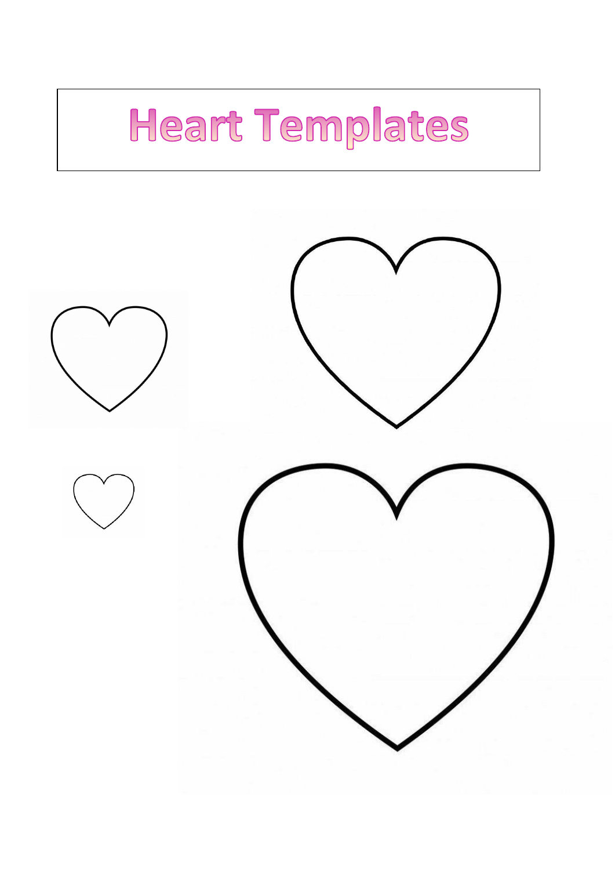# Heart Templates